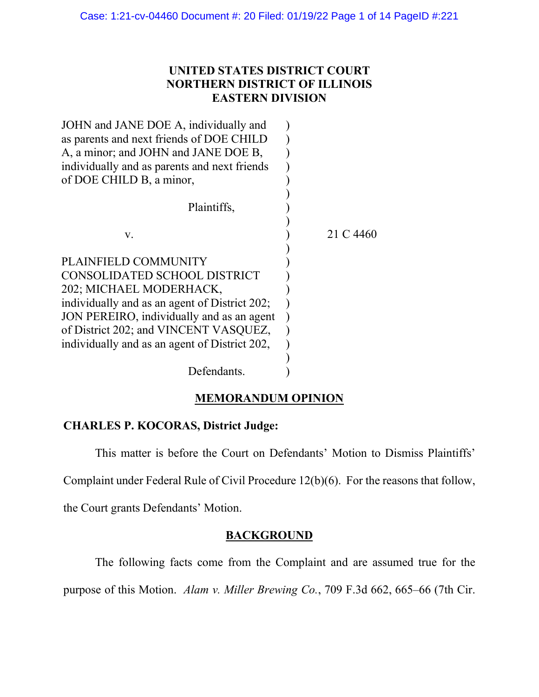# **UNITED STATES DISTRICT COURT NORTHERN DISTRICT OF ILLINOIS EASTERN DIVISION**

| JOHN and JANE DOE A, individually and         |           |
|-----------------------------------------------|-----------|
| as parents and next friends of DOE CHILD      |           |
| A, a minor; and JOHN and JANE DOE B,          |           |
| individually and as parents and next friends  |           |
| of DOE CHILD B, a minor,                      |           |
|                                               |           |
| Plaintiffs,                                   |           |
|                                               |           |
| v.                                            | 21 C 4460 |
|                                               |           |
| PLAINFIELD COMMUNITY                          |           |
| CONSOLIDATED SCHOOL DISTRICT                  |           |
| 202; MICHAEL MODERHACK,                       |           |
| individually and as an agent of District 202; |           |
| JON PEREIRO, individually and as an agent     |           |
| of District 202; and VINCENT VASQUEZ,         |           |
| individually and as an agent of District 202, |           |
|                                               |           |
| Defendants.                                   |           |
|                                               |           |

# **MEMORANDUM OPINION**

## **CHARLES P. KOCORAS, District Judge:**

This matter is before the Court on Defendants' Motion to Dismiss Plaintiffs'

Complaint under Federal Rule of Civil Procedure 12(b)(6). For the reasons that follow,

the Court grants Defendants' Motion.

# **BACKGROUND**

The following facts come from the Complaint and are assumed true for the

purpose of this Motion. *Alam v. Miller Brewing Co.*, 709 F.3d 662, 665–66 (7th Cir.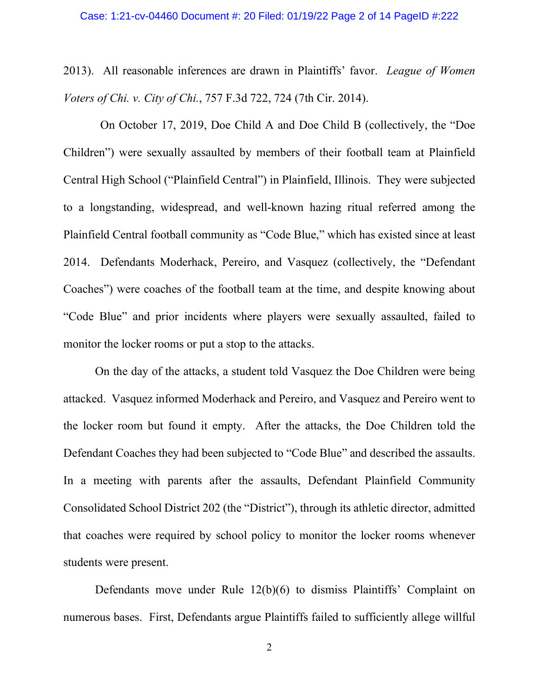2013). All reasonable inferences are drawn in Plaintiffs' favor. *League of Women Voters of Chi. v. City of Chi.*, 757 F.3d 722, 724 (7th Cir. 2014).

On October 17, 2019, Doe Child A and Doe Child B (collectively, the "Doe Children") were sexually assaulted by members of their football team at Plainfield Central High School ("Plainfield Central") in Plainfield, Illinois. They were subjected to a longstanding, widespread, and well-known hazing ritual referred among the Plainfield Central football community as "Code Blue," which has existed since at least 2014. Defendants Moderhack, Pereiro, and Vasquez (collectively, the "Defendant Coaches") were coaches of the football team at the time, and despite knowing about "Code Blue" and prior incidents where players were sexually assaulted, failed to monitor the locker rooms or put a stop to the attacks.

On the day of the attacks, a student told Vasquez the Doe Children were being attacked. Vasquez informed Moderhack and Pereiro, and Vasquez and Pereiro went to the locker room but found it empty. After the attacks, the Doe Children told the Defendant Coaches they had been subjected to "Code Blue" and described the assaults. In a meeting with parents after the assaults, Defendant Plainfield Community Consolidated School District 202 (the "District"), through its athletic director, admitted that coaches were required by school policy to monitor the locker rooms whenever students were present.

Defendants move under Rule 12(b)(6) to dismiss Plaintiffs' Complaint on numerous bases. First, Defendants argue Plaintiffs failed to sufficiently allege willful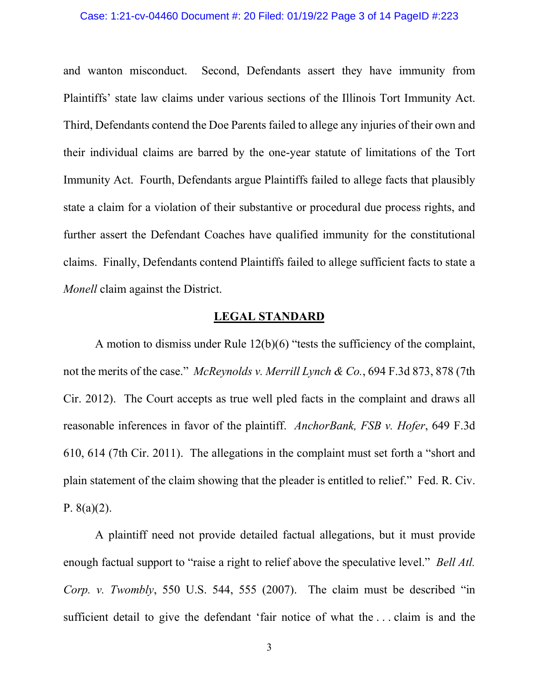## Case: 1:21-cv-04460 Document #: 20 Filed: 01/19/22 Page 3 of 14 PageID #:223

and wanton misconduct. Second, Defendants assert they have immunity from Plaintiffs' state law claims under various sections of the Illinois Tort Immunity Act. Third, Defendants contend the Doe Parents failed to allege any injuries of their own and their individual claims are barred by the one-year statute of limitations of the Tort Immunity Act. Fourth, Defendants argue Plaintiffs failed to allege facts that plausibly state a claim for a violation of their substantive or procedural due process rights, and further assert the Defendant Coaches have qualified immunity for the constitutional claims. Finally, Defendants contend Plaintiffs failed to allege sufficient facts to state a *Monell* claim against the District.

### **LEGAL STANDARD**

A motion to dismiss under Rule 12(b)(6) "tests the sufficiency of the complaint, not the merits of the case." *McReynolds v. Merrill Lynch & Co.*, 694 F.3d 873, 878 (7th Cir. 2012). The Court accepts as true well pled facts in the complaint and draws all reasonable inferences in favor of the plaintiff. *AnchorBank, FSB v. Hofer*, 649 F.3d 610, 614 (7th Cir. 2011). The allegations in the complaint must set forth a "short and plain statement of the claim showing that the pleader is entitled to relief." Fed. R. Civ. P.  $8(a)(2)$ .

A plaintiff need not provide detailed factual allegations, but it must provide enough factual support to "raise a right to relief above the speculative level." *Bell Atl. Corp. v. Twombly*, 550 U.S. 544, 555 (2007). The claim must be described "in sufficient detail to give the defendant 'fair notice of what the . . . claim is and the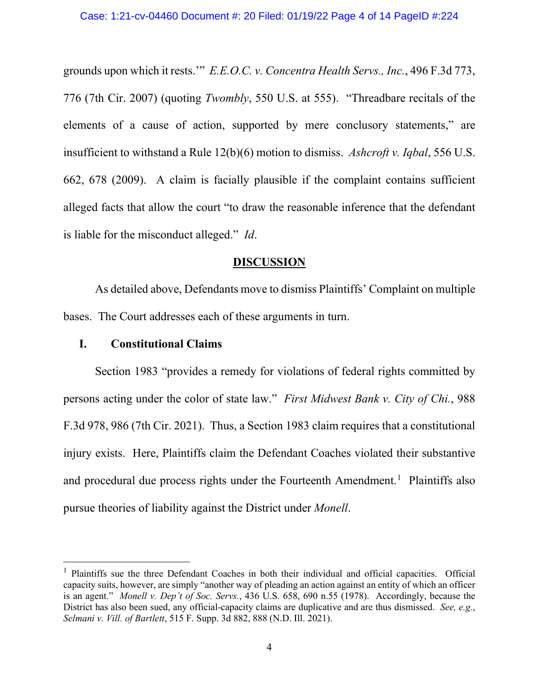grounds upon which it rests.'" *E.E.O.C. v. Concentra Health Servs., Inc.*, 496 F.3d 773, 776 (7th Cir. 2007) (quoting *Twombly*, 550 U.S. at 555). "Threadbare recitals of the elements of a cause of action, supported by mere conclusory statements," are insufficient to withstand a Rule 12(b)(6) motion to dismiss. *Ashcroft v. Iqbal*, 556 U.S. 662, 678 (2009). A claim is facially plausible if the complaint contains sufficient alleged facts that allow the court "to draw the reasonable inference that the defendant is liable for the misconduct alleged." *Id*.

## **DISCUSSION**

As detailed above, Defendants move to dismiss Plaintiffs' Complaint on multiple bases. The Court addresses each of these arguments in turn.

## **I. Constitutional Claims**

Section 1983 "provides a remedy for violations of federal rights committed by persons acting under the color of state law." *First Midwest Bank v. City of Chi.*, 988 F.3d 978, 986 (7th Cir. 2021). Thus, a Section 1983 claim requires that a constitutional injury exists. Here, Plaintiffs claim the Defendant Coaches violated their substantive and procedural due process rights under the Fourteenth Amendment.<sup>1</sup> Plaintiffs also pursue theories of liability against the District under *Monell*.

<span id="page-3-0"></span><sup>&</sup>lt;sup>1</sup> Plaintiffs sue the three Defendant Coaches in both their individual and official capacities. Official capacity suits, however, are simply "another way of pleading an action against an entity of which an officer is an agent." *Monell v. Dep't of Soc. Servs.*, 436 U.S. 658, 690 n.55 (1978). Accordingly, because the District has also been sued, any official-capacity claims are duplicative and are thus dismissed. *See, e.g.*, *Selmani v. Vill. of Bartlett*, 515 F. Supp. 3d 882, 888 (N.D. Ill. 2021).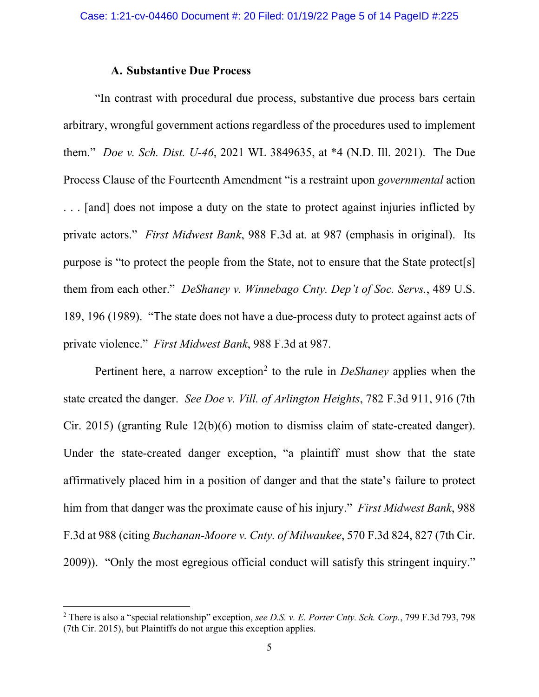## **A. Substantive Due Process**

"In contrast with procedural due process, substantive due process bars certain arbitrary, wrongful government actions regardless of the procedures used to implement them." *Doe v. Sch. Dist. U-46*, 2021 WL 3849635, at \*4 (N.D. Ill. 2021). The Due Process Clause of the Fourteenth Amendment "is a restraint upon *governmental* action . . . [and] does not impose a duty on the state to protect against injuries inflicted by private actors." *First Midwest Bank*, 988 F.3d at*.* at 987 (emphasis in original). Its purpose is "to protect the people from the State, not to ensure that the State protect[s] them from each other." *DeShaney v. Winnebago Cnty. Dep't of Soc. Servs.*, 489 U.S. 189, 196 (1989). "The state does not have a due-process duty to protect against acts of private violence." *First Midwest Bank*, 988 F.3d at 987.

Pertinent here, a narrow exception<sup>[2](#page-4-0)</sup> to the rule in *DeShaney* applies when the state created the danger. *See Doe v. Vill. of Arlington Heights*, 782 F.3d 911, 916 (7th Cir. 2015) (granting Rule 12(b)(6) motion to dismiss claim of state-created danger). Under the state-created danger exception, "a plaintiff must show that the state affirmatively placed him in a position of danger and that the state's failure to protect him from that danger was the proximate cause of his injury." *First Midwest Bank*, 988 F.3d at 988 (citing *Buchanan-Moore v. Cnty. of Milwaukee*, 570 F.3d 824, 827 (7th Cir. 2009)). "Only the most egregious official conduct will satisfy this stringent inquiry."

<span id="page-4-0"></span><sup>2</sup> There is also a "special relationship" exception, *see D.S. v. E. Porter Cnty. Sch. Corp.*, 799 F.3d 793, 798 (7th Cir. 2015), but Plaintiffs do not argue this exception applies.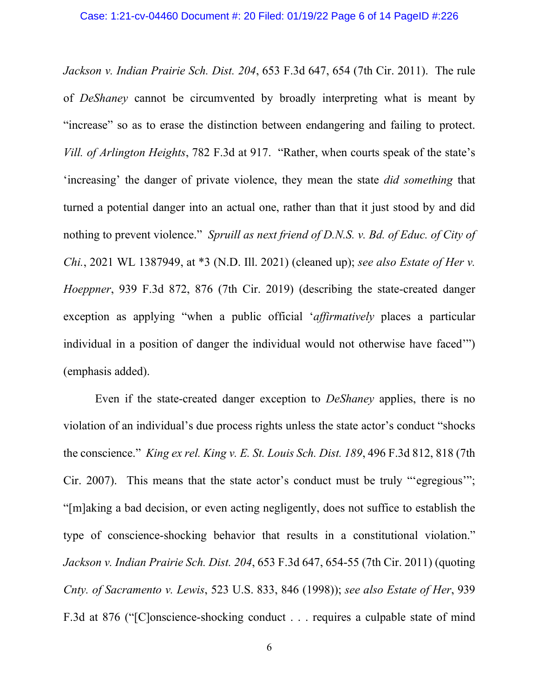*Jackson v. Indian Prairie Sch. Dist. 204*, 653 F.3d 647, 654 (7th Cir. 2011). The rule of *DeShaney* cannot be circumvented by broadly interpreting what is meant by "increase" so as to erase the distinction between endangering and failing to protect. *Vill. of Arlington Heights*, 782 F.3d at 917. "Rather, when courts speak of the state's 'increasing' the danger of private violence, they mean the state *did something* that turned a potential danger into an actual one, rather than that it just stood by and did nothing to prevent violence." *Spruill as next friend of D.N.S. v. Bd. of Educ. of City of Chi.*, 2021 WL 1387949, at \*3 (N.D. Ill. 2021) (cleaned up); *see also Estate of Her v. Hoeppner*, 939 F.3d 872, 876 (7th Cir. 2019) (describing the state-created danger exception as applying "when a public official '*affirmatively* places a particular individual in a position of danger the individual would not otherwise have faced'") (emphasis added).

Even if the state-created danger exception to *DeShaney* applies, there is no violation of an individual's due process rights unless the state actor's conduct "shocks the conscience." *King ex rel. King v. E. St. Louis Sch. Dist. 189*, 496 F.3d 812, 818 (7th Cir. 2007). This means that the state actor's conduct must be truly "'egregious'"; "[m]aking a bad decision, or even acting negligently, does not suffice to establish the type of conscience-shocking behavior that results in a constitutional violation." *Jackson v. Indian Prairie Sch. Dist. 204*, 653 F.3d 647, 654-55 (7th Cir. 2011) (quoting *Cnty. of Sacramento v. Lewis*, 523 U.S. 833, 846 (1998)); *see also Estate of Her*, 939 F.3d at 876 ("[C]onscience-shocking conduct . . . requires a culpable state of mind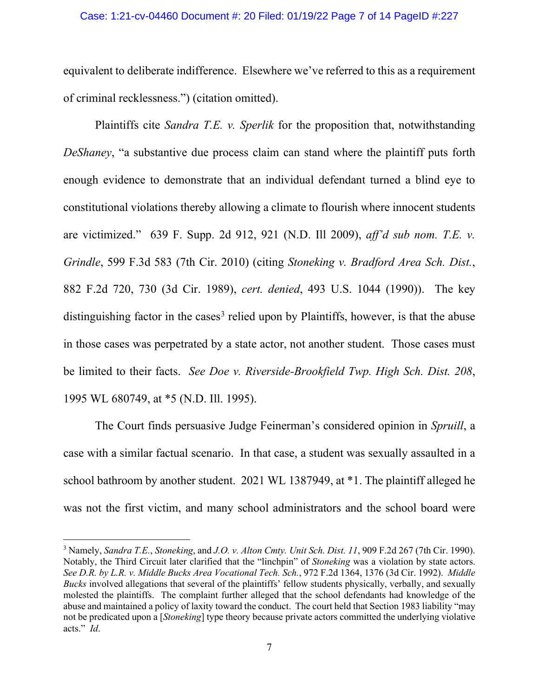#### Case: 1:21-cv-04460 Document #: 20 Filed: 01/19/22 Page 7 of 14 PageID #:227

equivalent to deliberate indifference. Elsewhere we've referred to this as a requirement of criminal recklessness.") (citation omitted).

Plaintiffs cite *Sandra T.E. v. Sperlik* for the proposition that, notwithstanding *DeShaney*, "a substantive due process claim can stand where the plaintiff puts forth enough evidence to demonstrate that an individual defendant turned a blind eye to constitutional violations thereby allowing a climate to flourish where innocent students are victimized." 639 F. Supp. 2d 912, 921 (N.D. Ill 2009), *aff'd sub nom. T.E. v. Grindle*, 599 F.3d 583 (7th Cir. 2010) (citing *Stoneking v. Bradford Area Sch. Dist.*, 882 F.2d 720, 730 (3d Cir. 1989), *cert. denied*, 493 U.S. 1044 (1990)). The key distinguishing factor in the cases<sup>[3](#page-6-0)</sup> relied upon by Plaintiffs, however, is that the abuse in those cases was perpetrated by a state actor, not another student. Those cases must be limited to their facts. *See Doe v. Riverside-Brookfield Twp. High Sch. Dist. 208*, 1995 WL 680749, at \*5 (N.D. Ill. 1995).

The Court finds persuasive Judge Feinerman's considered opinion in *Spruill*, a case with a similar factual scenario. In that case, a student was sexually assaulted in a school bathroom by another student. 2021 WL 1387949, at \*1. The plaintiff alleged he was not the first victim, and many school administrators and the school board were

<span id="page-6-0"></span><sup>3</sup> Namely, *Sandra T.E.*, *Stoneking*, and *J.O. v. Alton Cmty. Unit Sch. Dist. 11*, 909 F.2d 267 (7th Cir. 1990). Notably, the Third Circuit later clarified that the "linchpin" of *Stoneking* was a violation by state actors. *See D.R. by L.R. v. Middle Bucks Area Vocational Tech. Sch.*, 972 F.2d 1364, 1376 (3d Cir. 1992). *Middle Bucks* involved allegations that several of the plaintiffs' fellow students physically, verbally, and sexually molested the plaintiffs. The complaint further alleged that the school defendants had knowledge of the abuse and maintained a policy of laxity toward the conduct. The court held that Section 1983 liability "may not be predicated upon a [*Stoneking*] type theory because private actors committed the underlying violative acts." *Id*.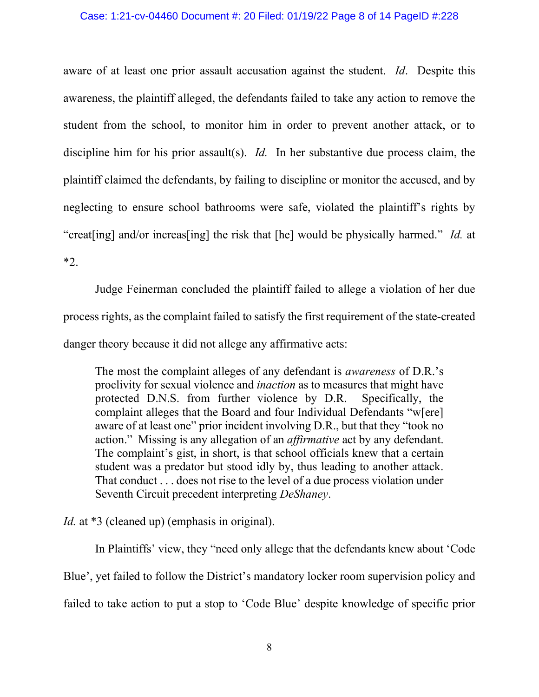#### Case: 1:21-cv-04460 Document #: 20 Filed: 01/19/22 Page 8 of 14 PageID #:228

aware of at least one prior assault accusation against the student. *Id*. Despite this awareness, the plaintiff alleged, the defendants failed to take any action to remove the student from the school, to monitor him in order to prevent another attack, or to discipline him for his prior assault(s). *Id*. In her substantive due process claim, the plaintiff claimed the defendants, by failing to discipline or monitor the accused, and by neglecting to ensure school bathrooms were safe, violated the plaintiff's rights by "creat[ing] and/or increas[ing] the risk that [he] would be physically harmed." *Id.* at \*2.

Judge Feinerman concluded the plaintiff failed to allege a violation of her due process rights, as the complaint failed to satisfy the first requirement of the state-created danger theory because it did not allege any affirmative acts:

The most the complaint alleges of any defendant is *awareness* of D.R.'s proclivity for sexual violence and *inaction* as to measures that might have protected D.N.S. from further violence by D.R. Specifically, the complaint alleges that the Board and four Individual Defendants "w[ere] aware of at least one" prior incident involving D.R., but that they "took no action." Missing is any allegation of an *affirmative* act by any defendant. The complaint's gist, in short, is that school officials knew that a certain student was a predator but stood idly by, thus leading to another attack. That conduct . . . does not rise to the level of a due process violation under Seventh Circuit precedent interpreting *DeShaney*.

*Id.* at \*3 (cleaned up) (emphasis in original).

In Plaintiffs' view, they "need only allege that the defendants knew about 'Code Blue', yet failed to follow the District's mandatory locker room supervision policy and failed to take action to put a stop to 'Code Blue' despite knowledge of specific prior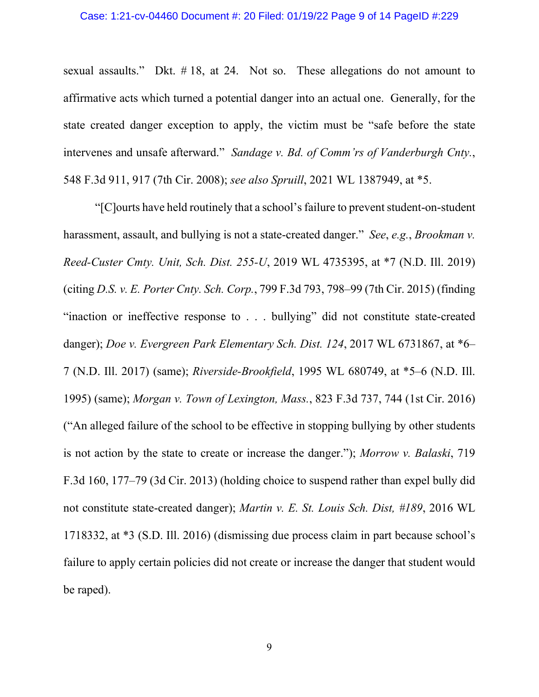sexual assaults." Dkt. # 18, at 24. Not so. These allegations do not amount to affirmative acts which turned a potential danger into an actual one. Generally, for the state created danger exception to apply, the victim must be "safe before the state intervenes and unsafe afterward." *Sandage v. Bd. of Comm'rs of Vanderburgh Cnty.*, 548 F.3d 911, 917 (7th Cir. 2008); *see also Spruill*, 2021 WL 1387949, at \*5.

"[C]ourts have held routinely that a school's failure to prevent student-on-student harassment, assault, and bullying is not a state-created danger." *See*, *e.g.*, *Brookman v. Reed-Custer Cmty. Unit, Sch. Dist. 255-U*, 2019 WL 4735395, at \*7 (N.D. Ill. 2019) (citing *D.S. v. E. Porter Cnty. Sch. Corp.*, 799 F.3d 793, 798–99 (7th Cir. 2015) (finding "inaction or ineffective response to . . . bullying" did not constitute state-created danger); *Doe v. Evergreen Park Elementary Sch. Dist. 124*, 2017 WL 6731867, at \*6– 7 (N.D. Ill. 2017) (same); *Riverside-Brookfield*, 1995 WL 680749, at \*5–6 (N.D. Ill. 1995) (same); *Morgan v. Town of Lexington, Mass.*, 823 F.3d 737, 744 (1st Cir. 2016) ("An alleged failure of the school to be effective in stopping bullying by other students is not action by the state to create or increase the danger."); *Morrow v. Balaski*, 719 F.3d 160, 177–79 (3d Cir. 2013) (holding choice to suspend rather than expel bully did not constitute state-created danger); *Martin v. E. St. Louis Sch. Dist, #189*, 2016 WL 1718332, at \*3 (S.D. Ill. 2016) (dismissing due process claim in part because school's failure to apply certain policies did not create or increase the danger that student would be raped).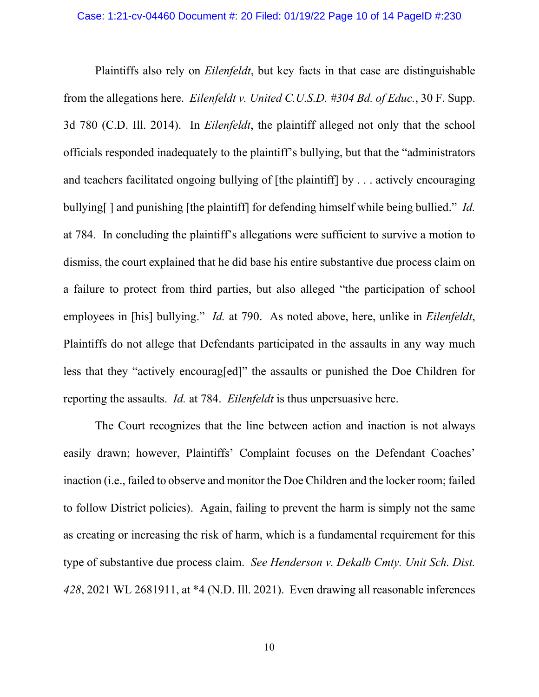#### Case: 1:21-cv-04460 Document #: 20 Filed: 01/19/22 Page 10 of 14 PageID #:230

Plaintiffs also rely on *Eilenfeldt*, but key facts in that case are distinguishable from the allegations here. *Eilenfeldt v. United C.U.S.D. #304 Bd. of Educ.*, 30 F. Supp. 3d 780 (C.D. Ill. 2014). In *Eilenfeldt*, the plaintiff alleged not only that the school officials responded inadequately to the plaintiff's bullying, but that the "administrators and teachers facilitated ongoing bullying of [the plaintiff] by . . . actively encouraging bullying[ ] and punishing [the plaintiff] for defending himself while being bullied." *Id.* at 784. In concluding the plaintiff's allegations were sufficient to survive a motion to dismiss, the court explained that he did base his entire substantive due process claim on a failure to protect from third parties, but also alleged "the participation of school employees in [his] bullying." *Id.* at 790. As noted above, here, unlike in *Eilenfeldt*, Plaintiffs do not allege that Defendants participated in the assaults in any way much less that they "actively encourag[ed]" the assaults or punished the Doe Children for reporting the assaults. *Id.* at 784. *Eilenfeldt* is thus unpersuasive here.

The Court recognizes that the line between action and inaction is not always easily drawn; however, Plaintiffs' Complaint focuses on the Defendant Coaches' inaction (i.e., failed to observe and monitor the Doe Children and the locker room; failed to follow District policies). Again, failing to prevent the harm is simply not the same as creating or increasing the risk of harm, which is a fundamental requirement for this type of substantive due process claim. *See Henderson v. Dekalb Cmty. Unit Sch. Dist. 428*, 2021 WL 2681911, at \*4 (N.D. Ill. 2021). Even drawing all reasonable inferences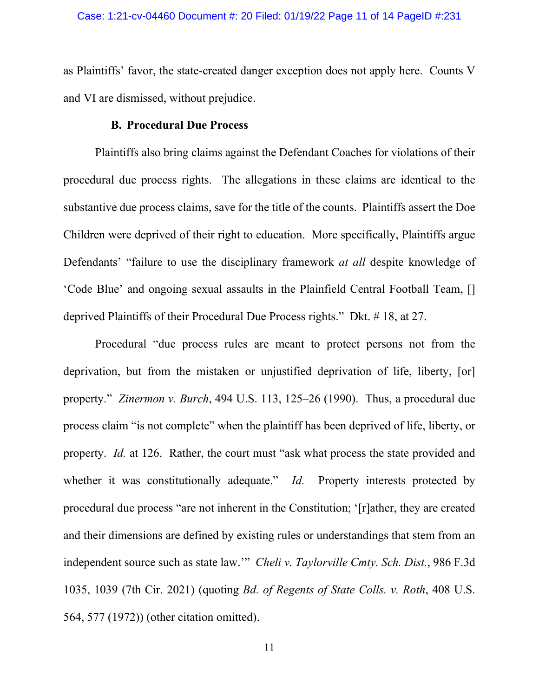as Plaintiffs' favor, the state-created danger exception does not apply here. Counts V and VI are dismissed, without prejudice.

## **B. Procedural Due Process**

Plaintiffs also bring claims against the Defendant Coaches for violations of their procedural due process rights. The allegations in these claims are identical to the substantive due process claims, save for the title of the counts. Plaintiffs assert the Doe Children were deprived of their right to education. More specifically, Plaintiffs argue Defendants' "failure to use the disciplinary framework *at all* despite knowledge of 'Code Blue' and ongoing sexual assaults in the Plainfield Central Football Team, [] deprived Plaintiffs of their Procedural Due Process rights." Dkt. # 18, at 27.

Procedural "due process rules are meant to protect persons not from the deprivation, but from the mistaken or unjustified deprivation of life, liberty, [or] property." *Zinermon v. Burch*, 494 U.S. 113, 125–26 (1990). Thus, a procedural due process claim "is not complete" when the plaintiff has been deprived of life, liberty, or property. *Id.* at 126. Rather, the court must "ask what process the state provided and whether it was constitutionally adequate." *Id.* Property interests protected by procedural due process "are not inherent in the Constitution; '[r]ather, they are created and their dimensions are defined by existing rules or understandings that stem from an independent source such as state law.'" *Cheli v. Taylorville Cmty. Sch. Dist.*, 986 F.3d 1035, 1039 (7th Cir. 2021) (quoting *Bd. of Regents of State Colls. v. Roth*, 408 U.S. 564, 577 (1972)) (other citation omitted).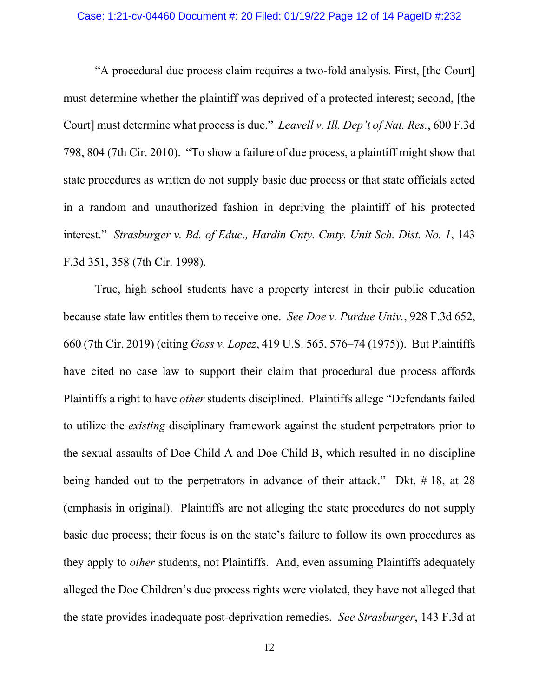## Case: 1:21-cv-04460 Document #: 20 Filed: 01/19/22 Page 12 of 14 PageID #:232

"A procedural due process claim requires a two-fold analysis. First, [the Court] must determine whether the plaintiff was deprived of a protected interest; second, [the Court] must determine what process is due." *Leavell v. Ill. Dep't of Nat. Res.*, 600 F.3d 798, 804 (7th Cir. 2010). "To show a failure of due process, a plaintiff might show that state procedures as written do not supply basic due process or that state officials acted in a random and unauthorized fashion in depriving the plaintiff of his protected interest." *Strasburger v. Bd. of Educ., Hardin Cnty. Cmty. Unit Sch. Dist. No. 1*, 143 F.3d 351, 358 (7th Cir. 1998).

True, high school students have a property interest in their public education because state law entitles them to receive one. *See Doe v. Purdue Univ.*, 928 F.3d 652, 660 (7th Cir. 2019) (citing *Goss v. Lopez*, 419 U.S. 565, 576–74 (1975)). But Plaintiffs have cited no case law to support their claim that procedural due process affords Plaintiffs a right to have *other* students disciplined. Plaintiffs allege "Defendants failed to utilize the *existing* disciplinary framework against the student perpetrators prior to the sexual assaults of Doe Child A and Doe Child B, which resulted in no discipline being handed out to the perpetrators in advance of their attack." Dkt. #18, at 28 (emphasis in original). Plaintiffs are not alleging the state procedures do not supply basic due process; their focus is on the state's failure to follow its own procedures as they apply to *other* students, not Plaintiffs. And, even assuming Plaintiffs adequately alleged the Doe Children's due process rights were violated, they have not alleged that the state provides inadequate post-deprivation remedies. *See Strasburger*, 143 F.3d at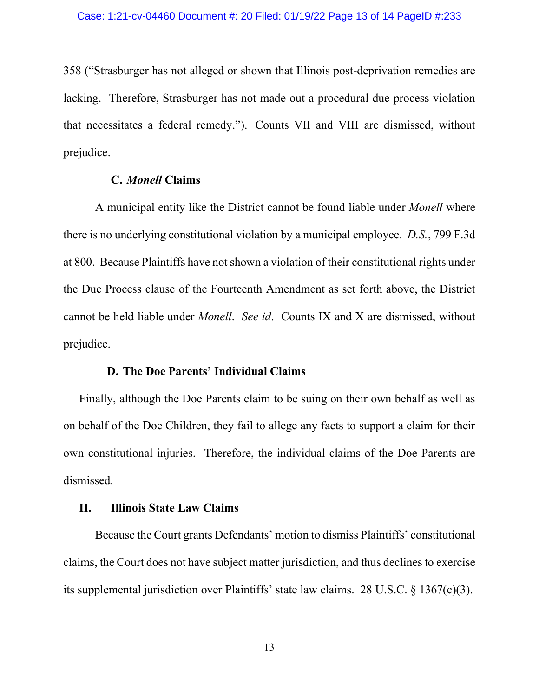358 ("Strasburger has not alleged or shown that Illinois post-deprivation remedies are lacking. Therefore, Strasburger has not made out a procedural due process violation that necessitates a federal remedy."). Counts VII and VIII are dismissed, without prejudice.

## **C.** *Monell* **Claims**

A municipal entity like the District cannot be found liable under *Monell* where there is no underlying constitutional violation by a municipal employee. *D.S.*, 799 F.3d at 800. Because Plaintiffs have not shown a violation of their constitutional rights under the Due Process clause of the Fourteenth Amendment as set forth above, the District cannot be held liable under *Monell*. *See id*. Counts IX and X are dismissed, without prejudice.

## **D. The Doe Parents' Individual Claims**

Finally, although the Doe Parents claim to be suing on their own behalf as well as on behalf of the Doe Children, they fail to allege any facts to support a claim for their own constitutional injuries. Therefore, the individual claims of the Doe Parents are dismissed.

#### **II. Illinois State Law Claims**

Because the Court grants Defendants' motion to dismiss Plaintiffs' constitutional claims, the Court does not have subject matter jurisdiction, and thus declines to exercise its supplemental jurisdiction over Plaintiffs' state law claims. 28 U.S.C. § 1367(c)(3).

13